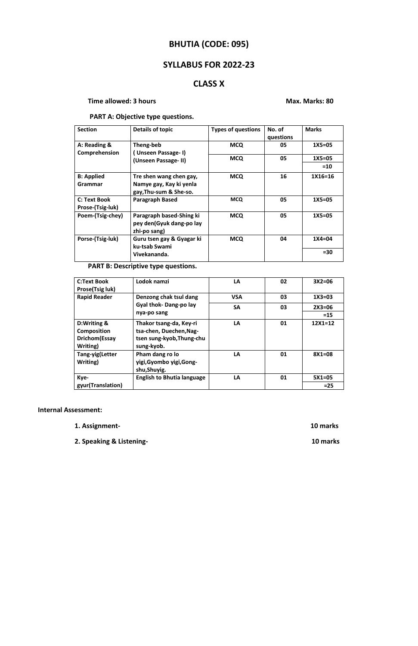# **BHUTIA (CODE: 095)**

## **SYLLABUS FOR 2022-23**

## **CLASS X**

### **Time allowed: 3 hours Max. Marks: 80**

### **PART A: Objective type questions.**

| <b>Section</b>                          | Details of topic                                                             | <b>Types of questions</b> | No. of<br>questions | <b>Marks</b> |
|-----------------------------------------|------------------------------------------------------------------------------|---------------------------|---------------------|--------------|
| A: Reading &<br>Comprehension           | Theng-beb<br>(Unseen Passage-I)<br>(Unseen Passage-II)                       | <b>MCQ</b>                | 05                  | $1X5=05$     |
|                                         |                                                                              | <b>MCQ</b>                | 05                  | $1X5=05$     |
|                                         |                                                                              |                           |                     | $=10$        |
| <b>B: Applied</b><br>Grammar            | Tre shen wang chen gay,<br>Namye gay, Kay ki yenla<br>gay, Thu-sum & She-so. | <b>MCQ</b>                | 16                  | $1X16=16$    |
| <b>C: Text Book</b><br>Prose-(Tsig-luk) | <b>Paragraph Based</b>                                                       | <b>MCQ</b>                | 05                  | $1X5=05$     |
| Poem-(Tsig-chey)                        | Paragraph based-Shing ki<br>pey den(Gyuk dang-po lay<br>zhi-po sang)         | <b>MCQ</b>                | 05                  | $1X5=05$     |
| Porse-(Tsig-luk)                        | Guru tsen gay & Gyagar ki<br>ku-tsab Swami                                   | <b>MCQ</b>                | 04                  | $1X4 = 04$   |
|                                         | Vivekananda.                                                                 |                           |                     | $= 30$       |

## **PART B: Descriptive type questions.**

| <b>C:Text Book</b><br><b>Prose(Tsig luk)</b>                    | Lodok namzi                                                                                   | LA         | 02 | $3X2=06$    |
|-----------------------------------------------------------------|-----------------------------------------------------------------------------------------------|------------|----|-------------|
| <b>Rapid Reader</b>                                             | Denzong chak tsul dang<br>Gyal thok-Dang-po lay<br>nya-po sang                                | <b>VSA</b> | 03 | $1X3 = 03$  |
|                                                                 |                                                                                               | <b>SA</b>  | 03 | $2X3=06$    |
|                                                                 |                                                                                               |            |    | $=15$       |
| D:Writing &<br>Composition<br><b>Drichom</b> (Essay<br>Writing) | Thakor tsang-da, Key-ri<br>tsa-chen, Duechen, Nag-<br>tsen sung-kyob, Thung-chu<br>sung-kyob. | LA         | 01 | $12X1 = 12$ |
| Tang-yig(Letter<br>Writing)                                     | Pham dang ro lo<br>yigi, Gyombo yigi, Gong-<br>shu, Shuyig.                                   | LA         | 01 | $8X1 = 08$  |
| Kye-                                                            | <b>English to Bhutia language</b>                                                             | LA         | 01 | $5X1=05$    |
| gyur(Translation)                                               |                                                                                               |            |    | $=25$       |

#### **Internal Assessment:**

- **1. Assignment- 10 marks**
- **2. Speaking & Listening- 10 marks**